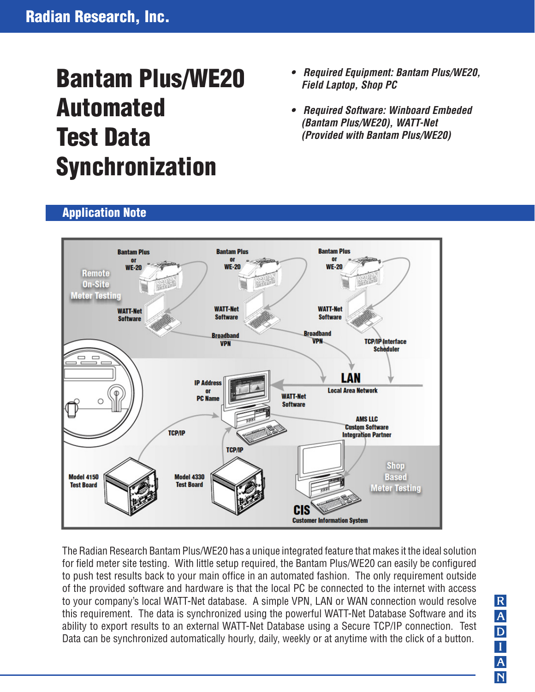# Bantam Plus/WE20 Automated Test Data Synchronization

- *Required Equipment: Bantam Plus/WE20, Field Laptop, Shop PC*
- *Required Software: Winboard Embeded (Bantam Plus/WE20), WATT-Net (Provided with Bantam Plus/WE20)*





The Radian Research Bantam Plus/WE20 has a unique integrated feature that makes it the ideal solution for field meter site testing. With little setup required, the Bantam Plus/WE20 can easily be configured to push test results back to your main office in an automated fashion. The only requirement outside of the provided software and hardware is that the local PC be connected to the internet with access to your company's local WATT-Net database. A simple VPN, LAN or WAN connection would resolve this requirement. The data is synchronized using the powerful WATT-Net Database Software and its ability to export results to an external WATT-Net Database using a Secure TCP/IP connection. Test Data can be synchronized automatically hourly, daily, weekly or at anytime with the click of a button.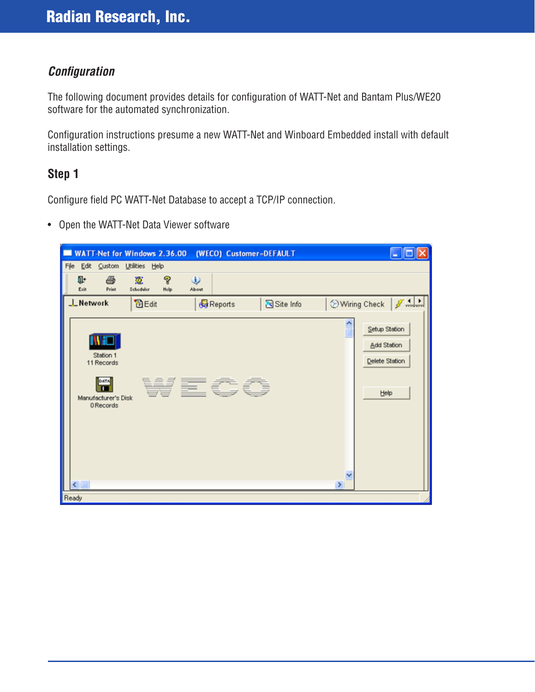## *Configuration*

The following document provides details for configuration of WATT-Net and Bantam Plus/WE20 software for the automated synchronization.

Configuration instructions presume a new WATT-Net and Winboard Embedded install with default installation settings.

### **Step 1**

Configure field PC WATT-Net Database to accept a TCP/IP connection.

• Open the WATT-Net Data Viewer software

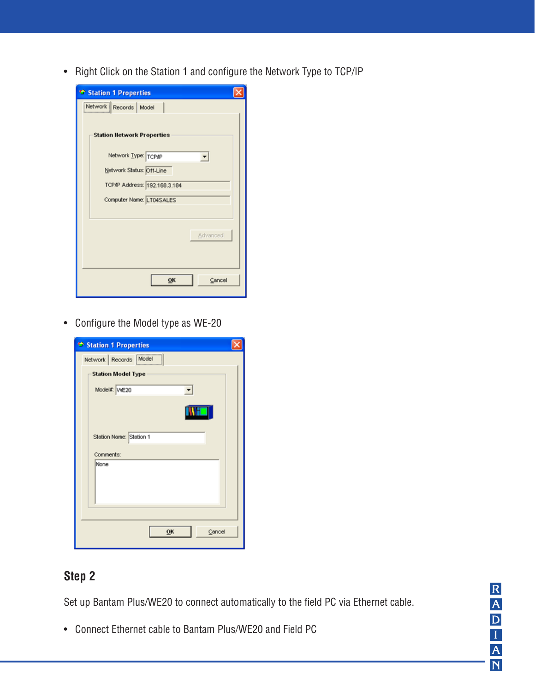• Right Click on the Station 1 and configure the Network Type to TCP/IP

| Station 1 Properties              |  |
|-----------------------------------|--|
| Network   Records   Model         |  |
| <b>Station Network Properties</b> |  |
| Network Type: TCPAP               |  |
| Network Status: Off-Line          |  |
| TCP/IP Address: 192.168.3.184     |  |
| Computer Name: LT04SALES          |  |
|                                   |  |
| Advanced                          |  |
| OK<br>Cancel                      |  |

• Configure the Model type as WE-20

| Station 1 Properties      |  |
|---------------------------|--|
| Network Records Model     |  |
| <b>Station Model Type</b> |  |
| Model#: VVE20             |  |
|                           |  |
| Station Name: Station 1   |  |
| Comments:                 |  |
| None                      |  |
|                           |  |
| Cancel<br>OK              |  |

# **Step 2**

Set up Bantam Plus/WE20 to connect automatically to the field PC via Ethernet cable.

• Connect Ethernet cable to Bantam Plus/WE20 and Field PC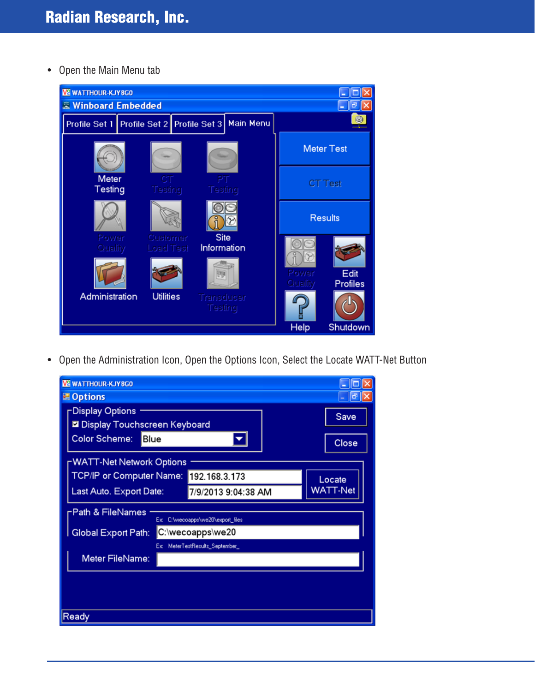• Open the Main Menu tab



• Open the Administration Icon, Open the Options Icon, Select the Locate WATT-Net Button

| <b>VE WATTHOUR-KJY8GO</b>                             |          |
|-------------------------------------------------------|----------|
| <b>■ Options</b>                                      |          |
| <b>Display Options</b>                                | Save     |
| <b>Ø</b> Display Touchscreen Keyboard                 |          |
| <b>Color Scheme:</b><br>Blue                          | Close    |
| NATT-Net Network Options                              |          |
| <b>TCP/IP or Computer Name:</b><br>192.168.3.173      | Locate   |
| Last Auto. Export Date:<br>7/9/2013 9:04:38 AM        | WATT-Net |
| Path & FileNames<br>Ex: C:\wecoapps\we20\export_files |          |
| C:\wecoapps\we20<br><b>Global Export Path:</b>        |          |
| MeterTestResults_September<br>Ex:                     |          |
| Meter FileName:                                       |          |
|                                                       |          |
|                                                       |          |
|                                                       |          |
| Ready                                                 |          |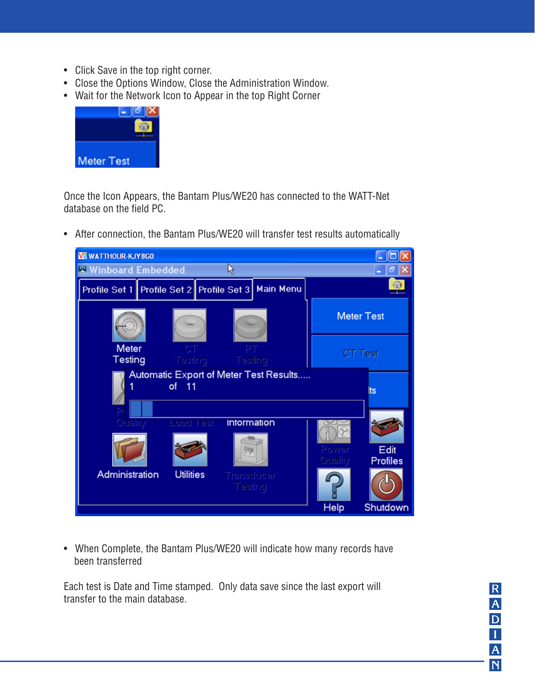- Click Save in the top right corner.
- Close the Options Window, Close the Administration Window.
- Wait for the Network Icon to Appear in the top Right Corner



Once the Icon Appears, the Bantam Plus/WE20 has connected to the WATT-Net database on the field PC.

• After connection, the Bantam Plus/WE20 will transfer test results automatically



• When Complete, the Bantam Plus/WE20 will indicate how many records have been transferred

Each test is Date and Time stamped. Only data save since the last export will transfer to the main database.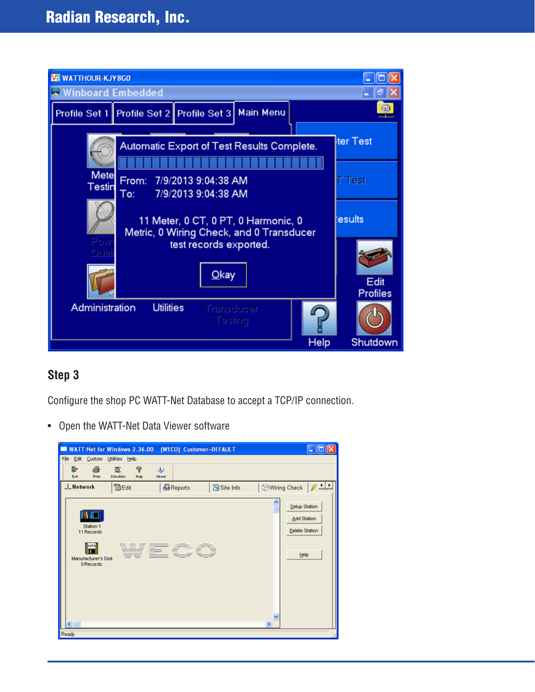

## **Step 3**

Configure the shop PC WATT-Net Database to accept a TCP/IP connection.

• Open the WATT-Net Data Viewer software

| File<br>Edit Custom Utilities Help                                                 |                             | WATT-Net for Windows 2.36.00 (WECO) Customer=DEFAULT |                                                        |  |
|------------------------------------------------------------------------------------|-----------------------------|------------------------------------------------------|--------------------------------------------------------|--|
| ūŀ.<br>6<br><b>Print</b><br>Exit                                                   | P<br>鸞<br>Schoduler<br>Help | $\omega$<br>About                                    |                                                        |  |
| LNetwork                                                                           | <b>DEdit</b>                | <b>Reports</b>                                       | Wiring Check   J<br>Site Info                          |  |
| <b>INFF</b><br>Station 1<br>11 Records<br>DATA<br>Manufacturer's Disk<br>0 Records |                             | WECO                                                 | Setup Station<br>Add Station<br>Delete Station<br>Help |  |
| Ready                                                                              |                             |                                                      | $\,$                                                   |  |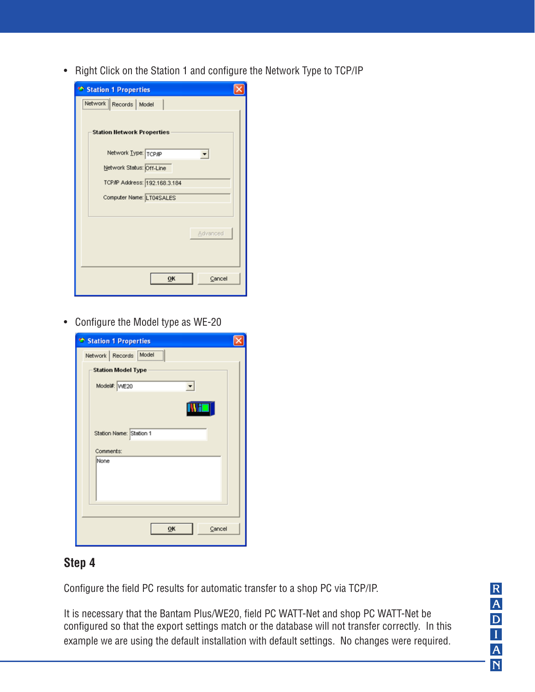• Right Click on the Station 1 and configure the Network Type to TCP/IP

| Station 1 Properties              |  |
|-----------------------------------|--|
| Network   Records   Model         |  |
| <b>Station Network Properties</b> |  |
| Network Type: TCP/IP              |  |
| Network Status: Off-Line          |  |
| TCP/IP Address: 192.168.3.184     |  |
| Computer Name: LT04SALES          |  |
|                                   |  |
| Advanced                          |  |
| OK<br>Cancel                      |  |

• Configure the Model type as WE-20

| <sup>+</sup> Station 1 Properties |  |
|-----------------------------------|--|
| Network Records Model             |  |
| <b>Station Model Type</b>         |  |
| Model#: VVE20                     |  |
|                                   |  |
| Station Name: Station 1           |  |
| Comments:                         |  |
| None                              |  |
|                                   |  |
| OK<br>Cancel                      |  |

## **Step 4**

Configure the field PC results for automatic transfer to a shop PC via TCP/IP.

It is necessary that the Bantam Plus/WE20, field PC WATT-Net and shop PC WATT-Net be configured so that the export settings match or the database will not transfer correctly. In this example we are using the default installation with default settings. No changes were required.